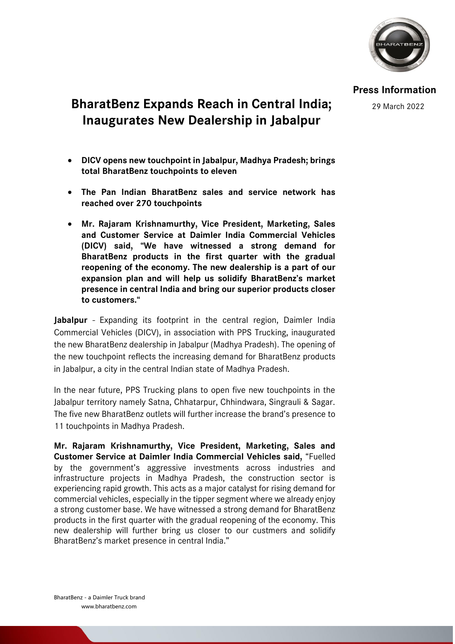

**Press Information**

29 March 2022

## **BharatBenz Expands Reach in Central India; Inaugurates New Dealership in Jabalpur**

- **DICV opens new touchpoint in Jabalpur, Madhya Pradesh; brings total BharatBenz touchpoints to eleven**
- **The Pan Indian BharatBenz sales and service network has reached over 270 touchpoints**
- **Mr. Rajaram Krishnamurthy, Vice President, Marketing, Sales and Customer Service at Daimler India Commercial Vehicles (DICV) said, "We have witnessed a strong demand for BharatBenz products in the first quarter with the gradual reopening of the economy. The new dealership is a part of our expansion plan and will help us solidify BharatBenz's market presence in central India and bring our superior products closer to customers."**

**Jabalpur** - Expanding its footprint in the central region, Daimler India Commercial Vehicles (DICV), in association with PPS Trucking, inaugurated the new BharatBenz dealership in Jabalpur (Madhya Pradesh). The opening of the new touchpoint reflects the increasing demand for BharatBenz products in Jabalpur, a city in the central Indian state of Madhya Pradesh.

In the near future, PPS Trucking plans to open five new touchpoints in the Jabalpur territory namely Satna, Chhatarpur, Chhindwara, Singrauli & Sagar. The five new BharatBenz outlets will further increase the brand's presence to 11 touchpoints in Madhya Pradesh.

**Mr. Rajaram Krishnamurthy, Vice President, Marketing, Sales and Customer Service at Daimler India Commercial Vehicles said,** "Fuelled by the government's aggressive investments across industries and infrastructure projects in Madhya Pradesh, the construction sector is experiencing rapid growth. This acts as a major catalyst for rising demand for commercial vehicles, especially in the tipper segment where we already enjoy a strong customer base. We have witnessed a strong demand for BharatBenz products in the first quarter with the gradual reopening of the economy. This new dealership will further bring us closer to our custmers and solidify BharatBenz's market presence in central India."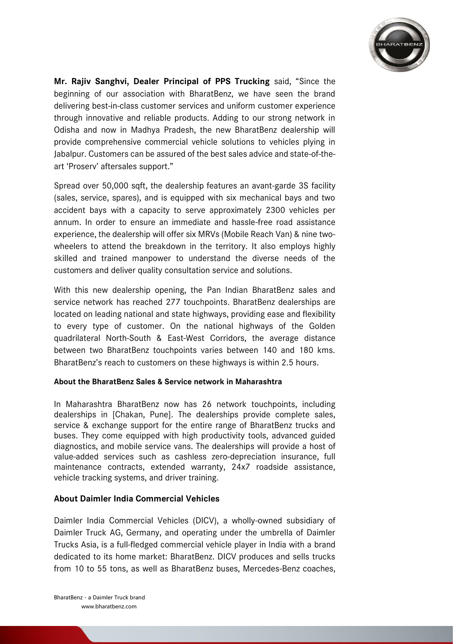

**Mr. Rajiv Sanghvi, Dealer Principal of PPS Trucking** said, "Since the beginning of our association with BharatBenz, we have seen the brand delivering best-in-class customer services and uniform customer experience through innovative and reliable products. Adding to our strong network in Odisha and now in Madhya Pradesh, the new BharatBenz dealership will provide comprehensive commercial vehicle solutions to vehicles plying in Jabalpur. Customers can be assured of the best sales advice and state-of-theart 'Proserv' aftersales support."

Spread over 50,000 sqft, the dealership features an avant-garde 3S facility (sales, service, spares), and is equipped with six mechanical bays and two accident bays with a capacity to serve approximately 2300 vehicles per annum. In order to ensure an immediate and hassle-free road assistance experience, the dealership will offer six MRVs (Mobile Reach Van) & nine twowheelers to attend the breakdown in the territory. It also employs highly skilled and trained manpower to understand the diverse needs of the customers and deliver quality consultation service and solutions.

With this new dealership opening, the Pan Indian BharatBenz sales and service network has reached 277 touchpoints. BharatBenz dealerships are located on leading national and state highways, providing ease and flexibility to every type of customer. On the national highways of the Golden quadrilateral North-South & East-West Corridors, the average distance between two BharatBenz touchpoints varies between 140 and 180 kms. BharatBenz's reach to customers on these highways is within 2.5 hours.

## **About the BharatBenz Sales & Service network in Maharashtra**

In Maharashtra BharatBenz now has 26 network touchpoints, including dealerships in [Chakan, Pune]. The dealerships provide complete sales, service & exchange support for the entire range of BharatBenz trucks and buses. They come equipped with high productivity tools, advanced guided diagnostics, and mobile service vans. The dealerships will provide a host of value-added services such as cashless zero-depreciation insurance, full maintenance contracts, extended warranty, 24x7 roadside assistance, vehicle tracking systems, and driver training.

## **About Daimler India Commercial Vehicles**

Daimler India Commercial Vehicles (DICV), a wholly-owned subsidiary of Daimler Truck AG, Germany, and operating under the umbrella of Daimler Trucks Asia, is a full-fledged commercial vehicle player in India with a brand dedicated to its home market: BharatBenz. DICV produces and sells trucks from 10 to 55 tons, as well as BharatBenz buses, Mercedes-Benz coaches,